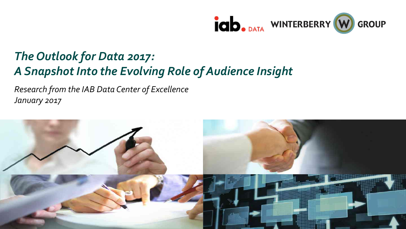

# *The Outlook for Data 2017: A Snapshot Into the Evolving Role of Audience Insight*

*Research from the IAB Data Center of Excellence January 2017*

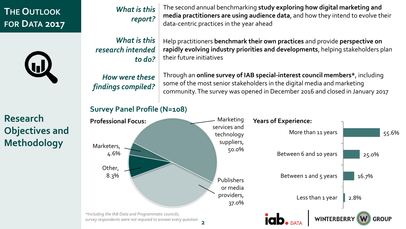# **THE OUTLOOK FOR DATA 2017**



**Research Objectives and Methodology**

#### The second annual benchmarking **study exploring how digital marketing and media practitioners are using audience data**, and how they intend to evolve their data-centric practices in the year ahead *What is this report?*

*What is this research intended to do?*

*How were these findings compiled?*

Help practitioners **benchmark their own practices** and provide **perspective on rapidly evolving industry priorities and developments**, helping stakeholders plan their future initiatives

Through an **online survey of IAB special-interest council members\***, including some of the most senior stakeholders in the digital media and marketing community. The survey was opened in December 2016 and closed in January 2017

#### **Survey Panel Profile (N=108)**

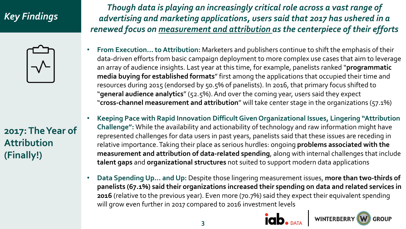# *Key Findings*



**2017: The Year of Attribution (Finally!)**

*Though data is playing an increasingly critical role across a vast range of advertising and marketing applications, users said that 2017 has ushered in a renewed focus on measurement and attribution as the centerpiece of their efforts* 

- **From Execution… to Attribution:** Marketers and publishers continue to shift the emphasis of their data-driven efforts from basic campaign deployment to more complex use cases that aim to leverage an array of audience insights. Last year at this time, for example, panelists ranked "**programmatic media buying for established formats**" first among the applications that occupied their time and resources during 2015 (endorsed by 50.5% of panelists). In 2016, that primary focus shifted to "**general audience analytics**" (52.5%). And over the coming year, users said they expect "**cross-channel measurement and attribution**" will take center stage in the organizations (57.1%)
- **Keeping Pace with Rapid Innovation Difficult Given Organizational Issues, Lingering "Attribution Challenge":** While the availability and actionability of technology and raw information might have represented challenges for data users in past years, panelists said that these issues are receding in relative importance. Taking their place as serious hurdles: ongoing **problems associated with the measurement and attribution of data-related spending**, along with internal challenges that include **talent gaps** and **organizational structures** not suited to support modern data applications
- **Data Spending Up… and Up:** Despite those lingering measurement issues, **more than two-thirds of panelists (67.1%) said their organizations increased their spending on data and related services in 2016** (relative to the previous year). Even more (70.7%) said they expect their equivalent spending will grow even further in 2017 compared to 2016 investment levels



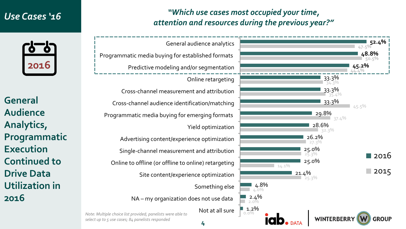### *Use Cases '16*



**General Audience Analytics, Programmatic Execution Continued to Drive Data Utilization in 2016**

### *"Which use cases most occupied your time, attention and resources during the previous year?"*



**4**

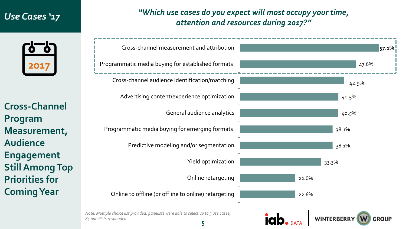## *Use Cases '17*

### *"Which use cases do you expect will most occupy your time, attention and resources during 2017?"*



**Cross-Channel Program Measurement, Audience Engagement Still Among Top Priorities for Coming Year**



**WINTERBERRY** 

*Note: Multiple choice list provided; panelists were able to select up to 5 use cases; 84 panelists responded*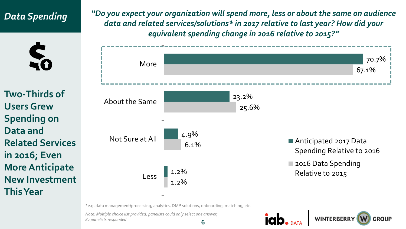# *Data Spending*



**Two-Thirds of Users Grew Spending on Data and Related Services in 2016; Even More Anticipate New Investment This Year**

*"Do you expect your organization will spend more, less or about the same on audience data and related services/solutions\* in 2017 relative to last year? How did your equivalent spending change in 2016 relative to 2015?"* 



\*e.g. data management/processing, analytics, DMP solutions, onboarding, matching, etc.

**6** *Note: Multiple choice list provided, panelists could only select one answer; 82 panelists responded*

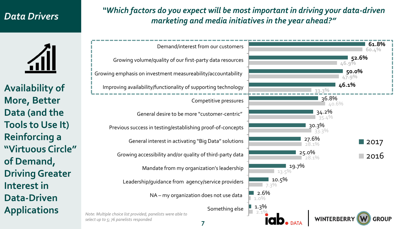## *Data Drivers*

### *"Which factors do you expect will be most important in driving your data-driven marketing and media initiatives in the year ahead?"*



**Availability of More, Better Data (and the Tools to Use It) Reinforcing a "Virtuous Circle" of Demand, Driving Greater Interest in Data-Driven Applications**

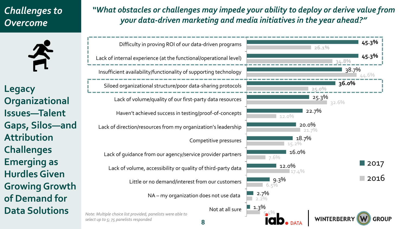# *Challenges to Overcome*

斉

**Legacy Organizational Issues—Talent Gaps, Silos—and Attribution Challenges Emerging as Hurdles Given Growing Growth of Demand for Data Solutions**

### *"What obstacles or challenges may impede your ability to deploy or derive value from your data-driven marketing and media initiatives in the year ahead?"*

Not at all sure NA – my organization does not use data Little or no demand/interest from our customers Lack of volume, accessibility or quality of third-party data Lack of guidance from our agency/service provider partners Competitive pressures Lack of direction/resources from my organization's leadership Haven't achieved success in testing/proof-of-concepts Lack of volume/quality of our first-party data resources Siloed organizational structure/poor data-sharing protocols Insufficient availability/functionality of supporting technology Lack of internal experience (at the functional/operational level) Difficulty in proving ROI of our data-driven programs *Note: Multiple choice list provided; panelists were able to* 

*select up to 5; 75 panelists responded*

**8**

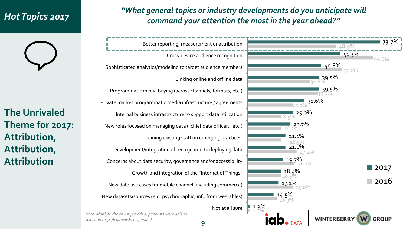# *Hot Topics 2017*

**The Unrivaled Theme for 2017: Attribution, Attribution, Attribution**

### *"What general topics or industry developments do you anticipate will command your attention the most in the year ahead?"*



*Note: Multiple choice list provided; panelists were able to select up to 5; 76 panelists responded*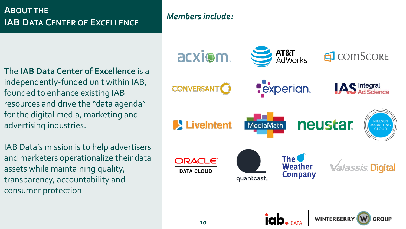## **ABOUT THE IAB DATA CENTER OF EXCELLENCE**

### *Members include:*

The **IAB Data Center of Excellence** is a independently-funded unit within IAB, founded to enhance existing IAB resources and drive the "data agenda" for the digital media, marketing and advertising industries.

IAB Data's mission is to help advertisers and marketers operationalize their data assets while maintaining quality, transparency, accountability and consumer protection